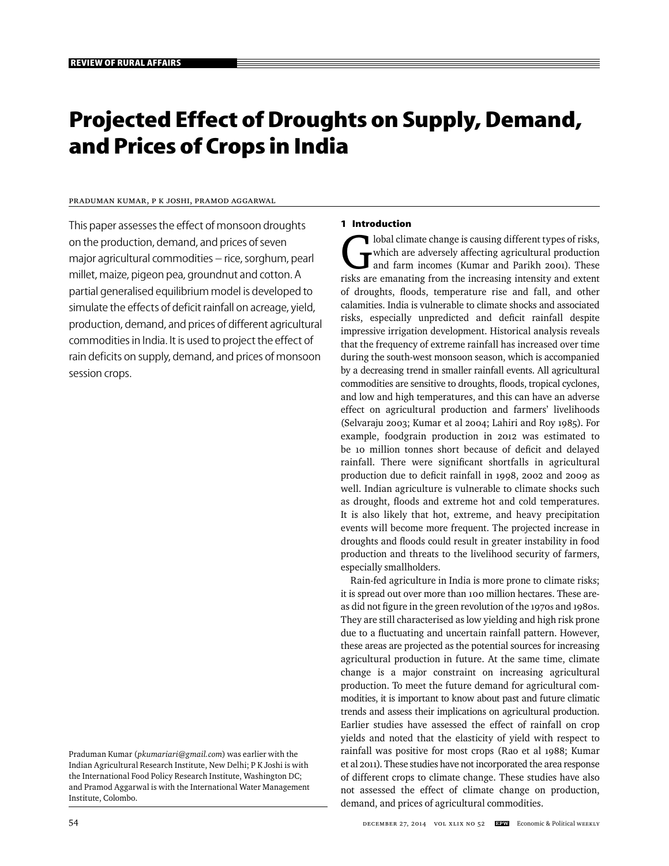# **Projected Effect of Droughts on Supply, Demand, and Prices of Crops in India**

## Praduman Kumar, P K Joshi, Pramod Aggarwal

This paper assesses the effect of monsoon droughts on the production, demand, and prices of seven major agricultural commodities – rice, sorghum, pearl millet, maize, pigeon pea, groundnut and cotton. A partial generalised equilibrium model is developed to simulate the effects of deficit rainfall on acreage, yield, production, demand, and prices of different agricultural commodities in India. It is used to project the effect of rain deficits on supply, demand, and prices of monsoon session crops.

#### **1 Introduction**

Iobal climate change is causing different types of risks,<br>which are adversely affecting agricultural production<br>and farm incomes (Kumar and Parikh 2001). These<br>risks are emanating from the increasing intensity and extent which are adversely affecting agricultural production and farm incomes (Kumar and Parikh 2001). These risks are emanating from the increasing intensity and extent of droughts, floods, temperature rise and fall, and other calamities. India is vulnerable to climate shocks and associated risks, especially unpredicted and deficit rainfall despite impressive irrigation development. Historical analysis reveals that the frequency of extreme rainfall has increased over time during the south-west monsoon season, which is accompanied by a decreasing trend in smaller rainfall events. All agricultural commodities are sensitive to droughts, floods, tropical cyclones, and low and high temperatures, and this can have an adverse effect on agricultural production and farmers' livelihoods (Selvaraju 2003; Kumar et al 2004; Lahiri and Roy 1985). For example, foodgrain production in 2012 was estimated to be 10 million tonnes short because of deficit and delayed rainfall. There were significant shortfalls in agricultural production due to deficit rainfall in 1998, 2002 and 2009 as well. Indian agriculture is vulnerable to climate shocks such as drought, floods and extreme hot and cold temperatures. It is also likely that hot, extreme, and heavy precipitation events will become more frequent. The projected increase in droughts and floods could result in greater instability in food production and threats to the livelihood security of farmers, especially smallholders.

Rain-fed agriculture in India is more prone to climate risks; it is spread out over more than 100 million hectares. These areas did not figure in the green revolution of the 1970s and 1980s. They are still characterised as low yielding and high risk prone due to a fluctuating and uncertain rainfall pattern. However, these areas are projected as the potential sources for increasing agricultural production in future. At the same time, climate change is a major constraint on increasing agricultural production. To meet the future demand for agricultural commodities, it is important to know about past and future climatic trends and assess their implications on agricultural production. Earlier studies have assessed the effect of rainfall on crop yields and noted that the elasticity of yield with respect to rainfall was positive for most crops (Rao et al 1988; Kumar et al 2011). These studies have not incorporated the area response of different crops to climate change. These studies have also not assessed the effect of climate change on production, demand, and prices of agricultural commodities.

Praduman Kumar (*pkumariari@gmail.com*) was earlier with the Indian Agricultural Research Institute, New Delhi; P K Joshi is with the International Food Policy Research Institute, Washington DC; and Pramod Aggarwal is with the International Water Management Institute, Colombo.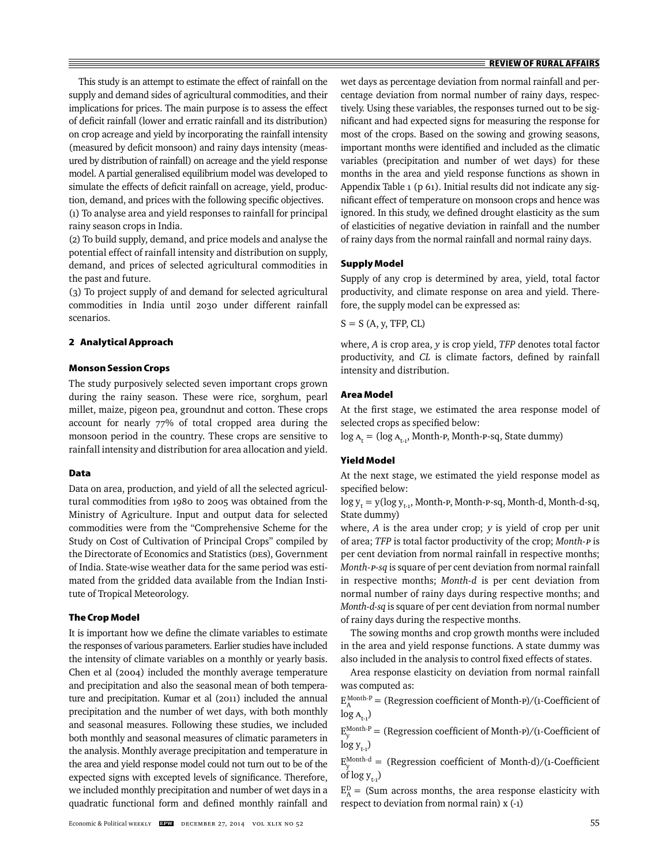This study is an attempt to estimate the effect of rainfall on the supply and demand sides of agricultural commodities, and their implications for prices. The main purpose is to assess the effect of deficit rainfall (lower and erratic rainfall and its distribution) on crop acreage and yield by incorporating the rainfall intensity (measured by deficit monsoon) and rainy days intensity (measured by distribution of rainfall) on acreage and the yield response model. A partial generalised equilibrium model was developed to simulate the effects of deficit rainfall on acreage, yield, production, demand, and prices with the following specific objectives. (1) To analyse area and yield responses to rainfall for principal rainy season crops in India.

(2) To build supply, demand, and price models and analyse the potential effect of rainfall intensity and distribution on supply, demand, and prices of selected agricultural commodities in the past and future.

(3) To project supply of and demand for selected agricultural commodities in India until 2030 under different rainfall scenarios.

## **2 Analytical Approach**

## **Monson Session Crops**

The study purposively selected seven important crops grown during the rainy season. These were rice, sorghum, pearl millet, maize, pigeon pea, groundnut and cotton. These crops account for nearly 77% of total cropped area during the monsoon period in the country. These crops are sensitive to rainfall intensity and distribution for area allocation and yield.

#### **Data**

Data on area, production, and yield of all the selected agricultural commodities from 1980 to 2005 was obtained from the Ministry of Agriculture. Input and output data for selected commodities were from the "Comprehensive Scheme for the Study on Cost of Cultivation of Principal Crops" compiled by the Directorate of Economics and Statistics (DES), Government of India. State-wise weather data for the same period was estimated from the gridded data available from the Indian Institute of Tropical Meteorology.

#### **The Crop Model**

It is important how we define the climate variables to estimate the responses of various parameters. Earlier studies have included the intensity of climate variables on a monthly or yearly basis. Chen et al (2004) included the monthly average temperature and precipitation and also the seasonal mean of both temperature and precipitation. Kumar et al (2011) included the annual precipitation and the number of wet days, with both monthly and seasonal measures. Following these studies, we included both monthly and seasonal measures of climatic parameters in the analysis. Monthly average precipitation and temperature in the area and yield response model could not turn out to be of the expected signs with excepted levels of significance. Therefore, we included monthly precipitation and number of wet days in a quadratic functional form and defined monthly rainfall and

wet days as percentage deviation from normal rainfall and percentage deviation from normal number of rainy days, respectively. Using these variables, the responses turned out to be significant and had expected signs for measuring the response for most of the crops. Based on the sowing and growing seasons, important months were identified and included as the climatic variables (precipitation and number of wet days) for these months in the area and yield response functions as shown in Appendix Table 1 (p 61). Initial results did not indicate any significant effect of temperature on monsoon crops and hence was ignored. In this study, we defined drought elasticity as the sum of elasticities of negative deviation in rainfall and the number of rainy days from the normal rainfall and normal rainy days.

## **Supply Model**

Supply of any crop is determined by area, yield, total factor productivity, and climate response on area and yield. Therefore, the supply model can be expressed as:

$$
S = S (A, y, TFP, CL)
$$

where, *A* is crop area, *y* is crop yield, *TFP* denotes total factor productivity, and *CL* is climate factors, defined by rainfall intensity and distribution.

## **Area Model**

At the first stage, we estimated the area response model of selected crops as specified below:

 $log A_t = (log A_{t-1}, Month-p, Month-p-sq, State dummy)$ 

## **Yield Model**

At the next stage, we estimated the yield response model as specified below:

 $\log y_t = y(\log y_{t-1}, \text{Month-P}, \text{Month-P-sq}, \text{Month-d}, \text{Month-d-sq},$ State dummy)

where, *A* is the area under crop; y is yield of crop per unit of area; *TFP* is total factor productivity of the crop; *Month-*P is per cent deviation from normal rainfall in respective months; *Month-*P*-sq* is square of per cent deviation from normal rainfall in respective months; *Month-d* is per cent deviation from normal number of rainy days during respective months; and *Month-d-sq* is square of per cent deviation from normal number of rainy days during the respective months.

The sowing months and crop growth months were included in the area and yield response functions. A state dummy was also included in the analysis to control fixed effects of states.

Area response elasticity on deviation from normal rainfall was computed as:

 $E_A^{\text{Month-P}} =$  (Regression coefficient of Month-P)/(1-Coefficient of  $log A_{t-1})$ 

 $E_{y}^{\text{Month-P}} =$  (Regression coefficient of Month-P)/(1-Coefficient of  $\log y_{t-1}$ )

 $E_{y}^{\text{Month-d}} =$  (Regression coefficient of Month-d)/(1-Coefficient of  $\log y_{t}$ .)

 $E_A^D$  = (Sum across months, the area response elasticity with respect to deviation from normal rain) x (-1)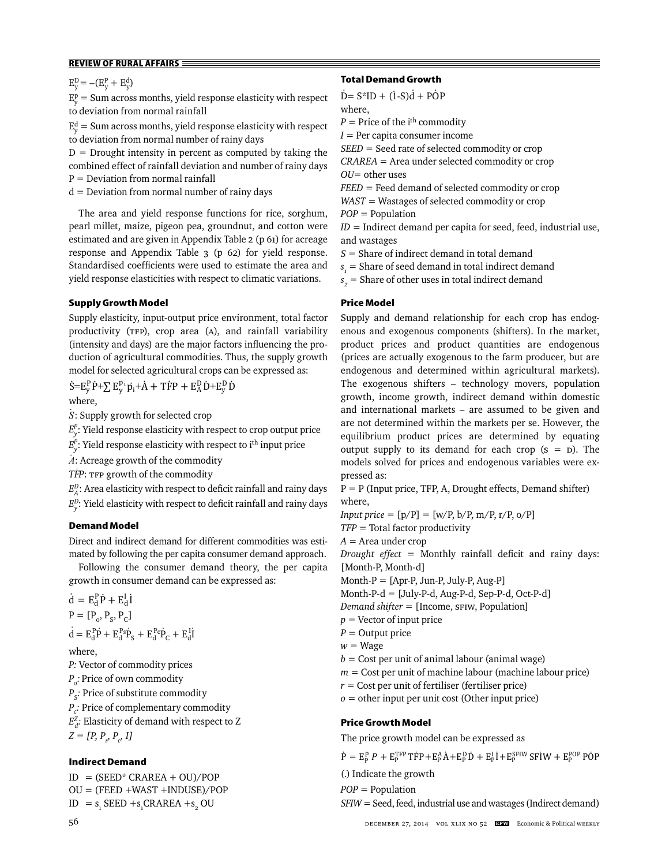$E_y^D = -(E_y^P + E_y^d)$ 

 $E_y^p =$  Sum across months, yield response elasticity with respect to deviation from normal rainfall

 $E_y^d$  = Sum across months, yield response elasticity with respect to deviation from normal number of rainy days

 $D =$  Drought intensity in percent as computed by taking the combined effect of rainfall deviation and number of rainy days  $P = Deviation from normal rainfall$ 

 $d =$  Deviation from normal number of rainy days

The area and yield response functions for rice, sorghum, pearl millet, maize, pigeon pea, groundnut, and cotton were estimated and are given in Appendix Table 2 (p 61) for acreage response and Appendix Table 3 (p 62) for yield response. Standardised coefficients were used to estimate the area and yield response elasticities with respect to climatic variations.

## **Supply Growth Model**

Supply elasticity, input-output price environment, total factor productivity (TFP), crop area (A), and rainfall variability (intensity and days) are the major factors influencing the production of agricultural commodities. Thus, the supply growth model for selected agricultural crops can be expressed as:

 $\dot{S} = E_y^P \dot{P} + \sum E_y^P \dot{p}_i + \dot{A} + T \dot{F}P + E_A^D \dot{D} + E_y^D \dot{D}$ where,

*S .* : Supply growth for selected crop

 $E_{y}^{p}$ : Yield response elasticity with respect to crop output price

*E*<sup>*p*</sup>. Yield response elasticity with respect to i<sup>th</sup> input price

*A* : Acreage growth of the commodity

*TF . P*: TFP growth of the commodity

 $E_A^D$ : Area elasticity with respect to deficit rainfall and rainy days

 $E_{y}^{D}$ : Yield elasticity with respect to deficit rainfall and rainy days

## **Demand Model**

Direct and indirect demand for different commodities was estimated by following the per capita consumer demand approach.

Following the consumer demand theory, the per capita growth in consumer demand can be expressed as:

$$
\dot{\mathbf{d}} = \mathbf{E}_{\mathbf{d}}^{\mathbf{P}} \dot{\mathbf{P}} + \mathbf{E}_{\mathbf{d}}^{\mathbf{I}} \mathbf{i}
$$
\n
$$
\mathbf{P} = [\mathbf{P}_{o}, \mathbf{P}_{S}, \mathbf{P}_{C}]
$$
\n
$$
\dot{\mathbf{d}} = \mathbf{E}_{\mathbf{d}}^{\mathbf{P}} \dot{\mathbf{P}} + \mathbf{E}_{\mathbf{d}}^{\mathbf{P}} \dot{\mathbf{P}}_{S} + \mathbf{E}_{\mathbf{d}}^{\mathbf{P}} \dot{\mathbf{P}}_{C} + \mathbf{E}_{\mathbf{d}}^{\mathbf{I}} \mathbf{i}
$$
\nwhere,\n
$$
\mathbf{P} \mathbf{M} = \mathbf{P}_{o} \mathbf{M} = \mathbf{P}_{o} \mathbf{M} = \mathbf{P}_{o} \mathbf{M} = \mathbf{P}_{o} \mathbf{M} = \mathbf{P}_{o} \mathbf{M} = \mathbf{P}_{o} \mathbf{M} = \mathbf{P}_{o} \mathbf{M} = \mathbf{P}_{o} \mathbf{M} = \mathbf{P}_{o} \mathbf{M} = \mathbf{P}_{o} \mathbf{M} = \mathbf{P}_{o} \mathbf{M} = \mathbf{P}_{o} \mathbf{M} = \mathbf{P}_{o} \mathbf{M} = \mathbf{P}_{o} \mathbf{M} = \mathbf{P}_{o} \mathbf{M} = \mathbf{P}_{o} \mathbf{M} = \mathbf{P}_{o} \mathbf{M} = \mathbf{P}_{o} \mathbf{M} = \mathbf{P}_{o} \mathbf{M} = \mathbf{P}_{o} \mathbf{M} = \mathbf{P}_{o} \mathbf{M} = \mathbf{P}_{o} \mathbf{M} = \mathbf{P}_{o} \mathbf{M} = \mathbf{P}_{o} \mathbf{M} = \mathbf{P}_{o} \mathbf{M} = \mathbf{P}_{o} \mathbf{M} = \mathbf{P}_{o} \mathbf{M} = \mathbf{P}_{o} \mathbf{M} = \mathbf{P}_{o} \mathbf{M} = \mathbf{P}_{o} \mathbf{M} = \mathbf{P}_{o} \mathbf{M} = \mathbf{P}_{o} \mathbf{M} = \mathbf{P}_{o} \mathbf{M} = \mathbf{P}_{o} \
$$

*P:* Vector of commodity prices

*Po :* Price of own commodity *P<sub>s</sub>*: Price of substitute commodity

*Pc :* Price of complementary commodity  $E_d^Z$ : Elasticity of demand with respect to Z

 $Z = [P, P_s, P_c, I]$ 

## **Indirect Demand**

 $ID = (SEED* CRAREA + OU)/POP$ OU = (FEED +WAST +INDUSE)/POP  $ID = s_1$  SEED +s<sub>1</sub>CRAREA +s<sub>2</sub> OU

## **Total Demand Growth**

 $\dot{D} = S^*ID + (1-S)\dot{d} + POP$ where,

 $P =$  Price of the i<sup>th</sup> commodity

 $I = Per$  capita consumer income

*SEED* = Seed rate of selected commodity or crop

*CRAREA* = Area under selected commodity or crop *OU*= other uses

*FEED* = Feed demand of selected commodity or crop

*WAST* = Wastages of selected commodity or crop

*POP* = Population

 $ID = Indirect$  demand per capita for seed, feed, industrial use, and wastages

*S* = Share of indirect demand in total demand

 $s_{i}$  = Share of seed demand in total indirect demand

 $s_{2}$  = Share of other uses in total indirect demand

## **Price Model**

Supply and demand relationship for each crop has endogenous and exogenous components (shifters). In the market, product prices and product quantities are endogenous (prices are actually exogenous to the farm producer, but are endogenous and determined within agricultural markets). The exogenous shifters – technology movers, population growth, income growth, indirect demand within domestic and international markets – are assumed to be given and are not determined within the markets per se. However, the equilibrium product prices are determined by equating output supply to its demand for each crop  $(s = D)$ . The models solved for prices and endogenous variables were expressed as:

 $P = P$  (Input price, TFP, A, Drought effects, Demand shifter) where, *Input price* =  $[p/P] = [w/P, b/P, m/P, r/P, o/P]$ 

*TFP* = Total factor productivity

*A* = Area under crop

*Drought effect* = Monthly rainfall deficit and rainy days: [Month-P, Month-d]

Month-P = [Apr-P, Jun-P, July-P, Aug-P]

Month-P-d = [July-P-d, Aug-P-d, Sep-P-d, Oct-P-d]

*Demand shifter* = [Income, SFIW, Population]

*p* = Vector of input price

- *P* = Output price
- $w = W$ age

 $b =$  Cost per unit of animal labour (animal wage)

*m* = Cost per unit of machine labour (machine labour price)

*r* = Cost per unit of fertiliser (fertiliser price)

*o* = other input per unit cost (Other input price)

## **Price Growth Model**

The price growth model can be expressed as

 $\dot{P} = E_P^p P + E_P^{\text{TFP}} T \dot{F} P + E_P^{\text{A}} \dot{A} + E_P^{\text{D}} \dot{D} + E_P^{\text{I}} \dot{I} + E_P^{\text{SFIW}} S \dot{F} \dot{I} W + E_P^{\text{POP}} P \dot{O} P$ 

(.) Indicate the growth

*POP* = Population

*SFIW* = Seed, feed, industrial use and wastages (Indirect demand)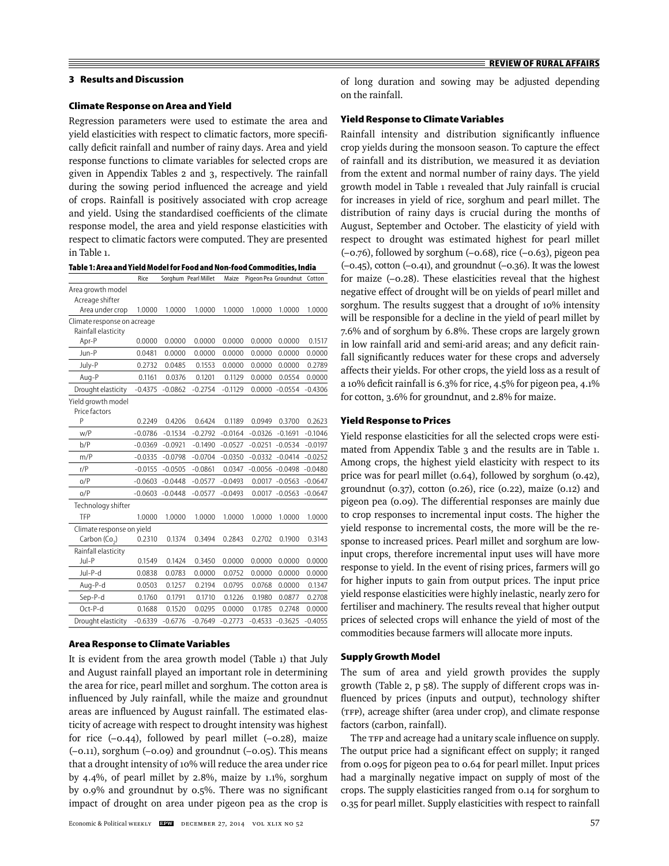#### **3 Results and Discussion**

#### **Climate Response on Area and Yield**

Regression parameters were used to estimate the area and yield elasticities with respect to climatic factors, more specifi cally deficit rainfall and number of rainy days. Area and yield response functions to climate variables for selected crops are given in Appendix Tables 2 and 3, respectively. The rainfall during the sowing period influenced the acreage and yield of crops. Rainfall is positively associated with crop acreage and yield. Using the standardised coefficients of the climate response model, the area and yield response elasticities with respect to climatic factors were computed. They are presented in Table 1.

**Table 1: Area and Yield Model for Food and Non-food Commodities, India**

|                                                    | Rice      |           | Sorghum Pearl Millet | Maize     |           | Pigeon Pea Groundnut Cotton |           |
|----------------------------------------------------|-----------|-----------|----------------------|-----------|-----------|-----------------------------|-----------|
| Area growth model<br>Acreage shifter               |           |           |                      |           |           |                             |           |
| Area under crop                                    | 1.0000    | 1.0000    | 1.0000               | 1.0000    | 1.0000    | 1.0000                      | 1.0000    |
| Climate response on acreage<br>Rainfall elasticity |           |           |                      |           |           |                             |           |
| Apr-P                                              | 0.0000    | 0.0000    | 0.0000               | 0.0000    | 0.0000    | 0.0000                      | 0.1517    |
| Jun-P                                              | 0.0481    | 0.0000    | 0.0000               | 0.0000    | 0.0000    | 0.0000                      | 0.0000    |
| July-P                                             | 0.2732    | 0.0485    | 0.1553               | 0.0000    | 0.0000    | 0.0000                      | 0.2789    |
| Aug-P                                              | 0.1161    | 0.0376    | 0.1201               | 0.1129    | 0.0000    | 0.0554                      | 0.0000    |
| Drought elasticity                                 | $-0.4375$ | $-0.0862$ | $-0.2754$            | $-0.1129$ | 0.0000    | $-0.0554$                   | $-0.4306$ |
| Yield growth model<br>Price factors                |           |           |                      |           |           |                             |           |
| P                                                  | 0.2249    | 0.4206    | 0.6424               | 0.1189    | 0.0949    | 0.3700                      | 0.2623    |
| W/P                                                | $-0.0786$ | $-0.1534$ | $-0.2792$            | $-0.0164$ | $-0.0326$ | $-0.1691$                   | $-0.1046$ |
| b/P                                                | $-0.0369$ | $-0.0921$ | $-0.1490$            | $-0.0527$ | $-0.0251$ | $-0.0534$                   | $-0.0197$ |
| m/P                                                | $-0.0335$ | $-0.0798$ | $-0.0704$            | $-0.0350$ | $-0.0332$ | $-0.0414$                   | $-0.0252$ |
| r/P                                                | $-0.0155$ | $-0.0505$ | $-0.0861$            | 0.0347    | $-0.0056$ | $-0.0498$                   | $-0.0480$ |
| O/P                                                | $-0.0603$ | $-0.0448$ | $-0.0577$            | $-0.0493$ | 0.0017    | $-0.0563$                   | $-0.0647$ |
| O/P                                                | $-0.0603$ | $-0.0448$ | $-0.0577$            | $-0.0493$ | 0.0017    | $-0.0563$                   | $-0.0647$ |
| Technology shifter                                 |           |           |                      |           |           |                             |           |
| TFP                                                | 1.0000    | 1.0000    | 1.0000               | 1.0000    | 1.0000    | 1.0000                      | 1.0000    |
| Climate response on yield                          |           |           |                      |           |           |                             |           |
| Carbon (Co <sub>2</sub> )                          | 0.2310    | 0.1374    | 0.3494               | 0.2843    | 0.2702    | 0.1900                      | 0.3143    |
| Rainfall elasticity                                |           |           |                      |           |           |                             |           |
| Jul-P                                              | 0.1549    | 0.1424    | 0.3450               | 0.0000    | 0.0000    | 0.0000                      | 0.0000    |
| Jul-P-d                                            | 0.0838    | 0.0783    | 0.0000               | 0.0752    | 0.0000    | 0.0000                      | 0.0000    |
| Aug-P-d                                            | 0.0503    | 0.1257    | 0.2194               | 0.0795    | 0.0768    | 0.0000                      | 0.1347    |
| Sep-P-d                                            | 0.1760    | 0.1791    | 0.1710               | 0.1226    | 0.1980    | 0.0877                      | 0.2708    |
| $Oct-P-d$                                          | 0.1688    | 0.1520    | 0.0295               | 0.0000    | 0.1785    | 0.2748                      | 0.0000    |
| Drought elasticity                                 | $-0.6339$ | $-0.6776$ | $-0.7649$            | $-0.2773$ | $-0.4533$ | $-0.3625$                   | $-0.4055$ |

## **Area Response to Climate Variables**

It is evident from the area growth model (Table 1) that July and August rainfall played an important role in determining the area for rice, pearl millet and sorghum. The cotton area is influenced by July rainfall, while the maize and groundnut areas are influenced by August rainfall. The estimated elasticity of acreage with respect to drought intensity was highest for rice  $(-0.44)$ , followed by pearl millet  $(-0.28)$ , maize  $(-0.11)$ , sorghum  $(-0.09)$  and groundnut  $(-0.05)$ . This means that a drought intensity of 10% will reduce the area under rice by 4.4%, of pearl millet by 2.8%, maize by 1.1%, sorghum by  $0.9\%$  and groundnut by  $0.5\%$ . There was no significant impact of drought on area under pigeon pea as the crop is

**REVIEW OF RURAL AFFAIRS**

#### **Yield Response to Climate Variables**

on the rainfall.

Rainfall intensity and distribution significantly influence crop yields during the monsoon season. To capture the effect of rainfall and its distribution, we measured it as deviation from the extent and normal number of rainy days. The yield growth model in Table 1 revealed that July rainfall is crucial for increases in yield of rice, sorghum and pearl millet. The distribution of rainy days is crucial during the months of August, September and October. The elasticity of yield with respect to drought was estimated highest for pearl millet (–0.76), followed by sorghum (–0.68), rice (–0.63), pigeon pea  $(-0.45)$ , cotton  $(-0.41)$ , and groundnut  $(-0.36)$ . It was the lowest for maize (–0.28). These elasticities reveal that the highest negative effect of drought will be on yields of pearl millet and sorghum. The results suggest that a drought of 10% intensity will be responsible for a decline in the yield of pearl millet by 7.6% and of sorghum by 6.8%. These crops are largely grown in low rainfall arid and semi-arid areas; and any deficit rainfall significantly reduces water for these crops and adversely affects their yields. For other crops, the yield loss as a result of a 10% deficit rainfall is 6.3% for rice,  $4.5\%$  for pigeon pea,  $4.1\%$ for cotton, 3.6% for groundnut, and 2.8% for maize.

#### **Yield Response to Prices**

Yield response elasticities for all the selected crops were estimated from Appendix Table 3 and the results are in Table 1. Among crops, the highest yield elasticity with respect to its price was for pearl millet (0.64), followed by sorghum (0.42), groundnut (0.37), cotton (0.26), rice (0.22), maize (0.12) and pigeon pea (0.09). The differential responses are mainly due to crop responses to incremental input costs. The higher the yield response to incremental costs, the more will be the response to increased prices. Pearl millet and sorghum are lowinput crops, therefore incremental input uses will have more response to yield. In the event of rising prices, farmers will go for higher inputs to gain from output prices. The input price yield response elasticities were highly inelastic, nearly zero for fertiliser and machinery. The results reveal that higher output prices of selected crops will enhance the yield of most of the commodities because farmers will allocate more inputs.

#### **Supply Growth Model**

The sum of area and yield growth provides the supply growth (Table 2, p 58). The supply of different crops was influenced by prices (inputs and output), technology shifter (TFP), acreage shifter (area under crop), and climate response factors (carbon, rainfall).

The TFP and acreage had a unitary scale influence on supply. The output price had a significant effect on supply; it ranged from 0.095 for pigeon pea to 0.64 for pearl millet. Input prices had a marginally negative impact on supply of most of the crops. The supply elasticities ranged from 0.14 for sorghum to 0.35 for pearl millet. Supply elasticities with respect to rainfall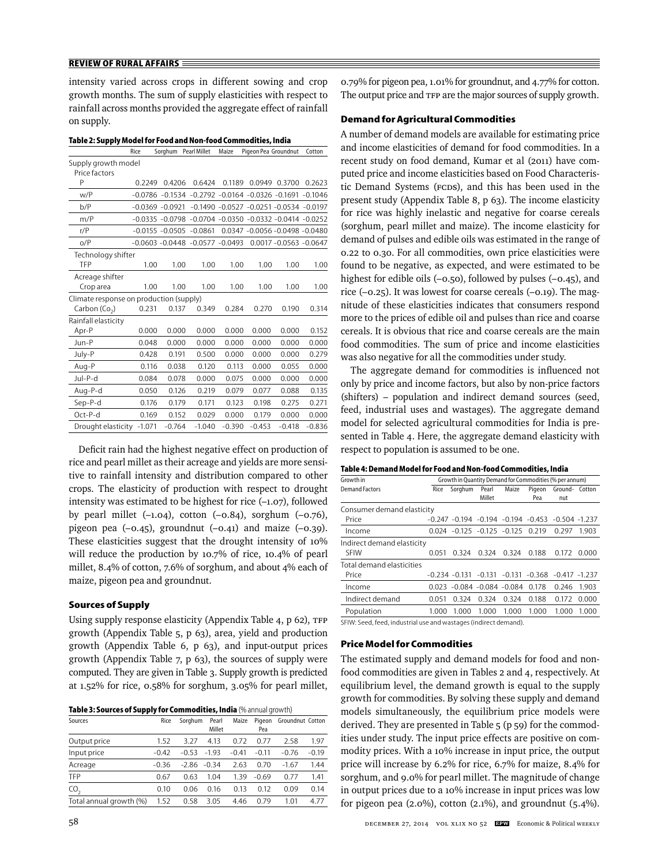intensity varied across crops in different sowing and crop growth months. The sum of supply elasticities with respect to rainfall across months provided the aggregate effect of rainfall on supply.

| asic E. Supply mouch for Food and Non-Tood commodities, i |          |                      |                                                                 |          |                      |                                               |           |
|-----------------------------------------------------------|----------|----------------------|-----------------------------------------------------------------|----------|----------------------|-----------------------------------------------|-----------|
|                                                           | Rice     | Sorghum Pearl Millet |                                                                 | Maize    | Pigeon Pea Groundnut |                                               | Cotton    |
| Supply growth model                                       |          |                      |                                                                 |          |                      |                                               |           |
| Price factors                                             |          |                      |                                                                 |          |                      |                                               |           |
| P                                                         | 0.2249   | 0.4206               | 0.6424                                                          | 0.1189   | 0.0949               | 0.3700                                        | 0.2623    |
| w/P                                                       |          |                      | $-0.0786 - 0.1534 - 0.2792 - 0.0164 - 0.0326 - 0.1691$          |          |                      |                                               | $-0.1046$ |
| b/P                                                       |          | $-0.0369 - 0.0921$   |                                                                 |          |                      | $-0.1490 - 0.0527 - 0.0251 - 0.0534 - 0.0197$ |           |
| m/P                                                       |          |                      | $-0.0335 - 0.0798 - 0.0704 - 0.0350 - 0.0332 - 0.0414 - 0.0252$ |          |                      |                                               |           |
| r/P                                                       |          |                      | $-0.0155 - 0.0505 - 0.0861$                                     |          |                      | 0.0347 -0.0056 -0.0498 -0.0480                |           |
| O/P                                                       |          |                      | $-0.0603 - 0.0448 - 0.0577 - 0.0493$                            |          |                      | 0.0017 - 0.0563 - 0.0647                      |           |
| Technology shifter                                        |          |                      |                                                                 |          |                      |                                               |           |
| TFP                                                       | 1.00     | 1.00                 | 1.00                                                            | 1.00     | 1.00                 | 1.00                                          | 1.00      |
| Acreage shifter                                           |          |                      |                                                                 |          |                      |                                               |           |
| Crop area                                                 | 1.00     | 1.00                 | 1.00                                                            | 1.00     | 1.00                 | 1.00                                          | 1.00      |
| Climate response on production (supply)                   |          |                      |                                                                 |          |                      |                                               |           |
| Carbon (Co <sub>2</sub> )                                 | 0.231    | 0.137                | 0.349                                                           | 0.284    | 0.270                | 0.190                                         | 0.314     |
| Rainfall elasticity                                       |          |                      |                                                                 |          |                      |                                               |           |
| Apr-P                                                     | 0.000    | 0.000                | 0.000                                                           | 0.000    | 0.000                | 0.000                                         | 0.152     |
| Jun-P                                                     | 0.048    | 0.000                | 0.000                                                           | 0.000    | 0.000                | 0.000                                         | 0.000     |
| July-P                                                    | 0.428    | 0.191                | 0.500                                                           | 0.000    | 0.000                | 0.000                                         | 0.279     |
| Aug-P                                                     | 0.116    | 0.038                | 0.120                                                           | 0.113    | 0.000                | 0.055                                         | 0.000     |
| Jul-P-d                                                   | 0.084    | 0.078                | 0.000                                                           | 0.075    | 0.000                | 0.000                                         | 0.000     |
| Aug-P-d                                                   | 0.050    | 0.126                | 0.219                                                           | 0.079    | 0.077                | 0.088                                         | 0.135     |
| Sep-P-d                                                   | 0.176    | 0.179                | 0.171                                                           | 0.123    | 0.198                | 0.275                                         | 0.271     |
| $Oct-P-d$                                                 | 0.169    | 0.152                | 0.029                                                           | 0.000    | 0.179                | 0.000                                         | 0.000     |
| Drought elasticity                                        | $-1.071$ | $-0.764$             | $-1.040$                                                        | $-0.390$ | $-0.453$             | $-0.418$                                      | $-0.836$  |

**Table 2: Supply Model for Food and Non-food Commodities, India**

Deficit rain had the highest negative effect on production of rice and pearl millet as their acreage and yields are more sensitive to rainfall intensity and distribution compared to other crops. The elasticity of production with respect to drought intensity was estimated to be highest for rice (–1.07), followed by pearl millet  $(-1.04)$ , cotton  $(-0.84)$ , sorghum  $(-0.76)$ , pigeon pea  $(-0.45)$ , groundnut  $(-0.41)$  and maize  $(-0.39)$ . These elasticities suggest that the drought intensity of 10% will reduce the production by 10.7% of rice, 10.4% of pearl millet, 8.4% of cotton, 7.6% of sorghum, and about 4% each of maize, pigeon pea and groundnut.

## **Sources of Supply**

Using supply response elasticity (Appendix Table 4, p 62), TFP growth (Appendix Table 5, p 63), area, yield and production growth (Appendix Table 6, p 63), and input-output prices growth (Appendix Table 7, p 63), the sources of supply were computed. They are given in Table 3. Supply growth is predicted at 1.52% for rice, 0.58% for sorghum, 3.05% for pearl millet,

| Table 3: Sources of Supply for Commodities, India (% annual growth) |  |  |
|---------------------------------------------------------------------|--|--|
|---------------------------------------------------------------------|--|--|

| Sources                 | Rice    | Sorghum | Pearl<br>Millet | Maize   | Pigeon<br>Pea | Groundnut Cotton |         |
|-------------------------|---------|---------|-----------------|---------|---------------|------------------|---------|
| Output price            | 1.52    | 3.27    | 4.13            | 0.72    | 0.77          | 2.58             | 1.97    |
| Input price             | $-0.42$ | $-0.53$ | $-1.93$         | $-0.41$ | $-0.11$       | $-0.76$          | $-0.19$ |
| Acreage                 | $-0.36$ | -2.86   | $-0.34$         | 2.63    | 0.70          | $-1.67$          | 1.44    |
| TFP                     | 0.67    | 0.63    | 1.04            | 1.39    | $-0.69$       | 0.77             | 1.41    |
| CO <sub>2</sub>         | 0.10    | 0.06    | 0.16            | 0.13    | 0.12          | 0.09             | 0.14    |
| Total annual growth (%) | 1.52    | 0.58    | 3.05            | 4.46    | 0.79          | 1.01             | 4.77    |

0.79% for pigeon pea, 1.01% for groundnut, and 4.77% for cotton. The output price and TFP are the major sources of supply growth.

## **Demand for Agricultural Commodities**

A number of demand models are available for estimating price and income elasticities of demand for food commodities. In a recent study on food demand, Kumar et al (2011) have computed price and income elasticities based on Food Characteristic Demand Systems (FCDS), and this has been used in the present study (Appendix Table 8, p 63). The income elasticity for rice was highly inelastic and negative for coarse cereals (sorghum, pearl millet and maize). The income elasticity for demand of pulses and edible oils was estimated in the range of 0.22 to 0.30. For all commodities, own price elasticities were found to be negative, as expected, and were estimated to be highest for edible oils (-0.50), followed by pulses (-0.45), and rice  $(-0.25)$ . It was lowest for coarse cereals  $(-0.19)$ . The magnitude of these elasticities indicates that consumers respond more to the prices of edible oil and pulses than rice and coarse cereals. It is obvious that rice and coarse cereals are the main food commodities. The sum of price and income elasticities was also negative for all the commodities under study.

The aggregate demand for commodities is influenced not only by price and income factors, but also by non-price factors (shifters) – population and indirect demand sources (seed, feed, industrial uses and wastages). The aggregate demand model for selected agricultural commodities for India is presented in Table 4. Here, the aggregate demand elasticity with respect to population is assumed to be one.

| Growth in                  | Growth in Quantity Demand for Commodities (% per annum) |                                       |        |                          |        |                                                          |       |  |  |
|----------------------------|---------------------------------------------------------|---------------------------------------|--------|--------------------------|--------|----------------------------------------------------------|-------|--|--|
| Demand Factors             | Rice                                                    | Sorghum                               | Pearl  | Maize                    | Pigeon | Ground- Cotton                                           |       |  |  |
|                            |                                                         |                                       | Millet |                          | Pea    | nut                                                      |       |  |  |
| Consumer demand elasticity |                                                         |                                       |        |                          |        |                                                          |       |  |  |
| Price                      |                                                         |                                       |        |                          |        | $-0.247 - 0.194 - 0.194 - 0.194 - 0.453 - 0.504 - 1.237$ |       |  |  |
| Income                     |                                                         | $0.024 - 0.125 - 0.125 - 0.125$ 0.219 |        |                          |        | 0.297                                                    | 1.903 |  |  |
| Indirect demand elasticity |                                                         |                                       |        |                          |        |                                                          |       |  |  |
| <b>SFIW</b>                | 0.051                                                   | 0.324                                 | 0.324  | 0.324                    | 0.188  | 0.172                                                    | 0.000 |  |  |
| Total demand elasticities  |                                                         |                                       |        |                          |        |                                                          |       |  |  |
| Price                      |                                                         |                                       |        |                          |        | $-0.234 - 0.131 - 0.131 - 0.131 - 0.368 - 0.417 - 1.237$ |       |  |  |
| Income                     | 0.023                                                   |                                       |        | $-0.084 - 0.084 - 0.084$ | 0.178  | 0.246                                                    | 1.903 |  |  |
| Indirect demand            | 0.051                                                   | 0.324                                 | 0.324  | 0.324                    | 0.188  | 0.172                                                    | 0.000 |  |  |
| Population                 | 1.000                                                   | 1.000                                 | 1.000  | 1.000                    | 1.000  | 1.000                                                    | 1.000 |  |  |
|                            |                                                         |                                       |        |                          |        |                                                          |       |  |  |

SFIW: Seed, feed, industrial use and wastages (indirect demand).

## **Price Model for Commodities**

The estimated supply and demand models for food and nonfood commodities are given in Tables 2 and 4, respectively. At equilibrium level, the demand growth is equal to the supply growth for commodities. By solving these supply and demand models simultaneously, the equilibrium price models were derived. They are presented in Table 5 (p 59) for the commodities under study. The input price effects are positive on commodity prices. With a 10% increase in input price, the output price will increase by 6.2% for rice, 6.7% for maize, 8.4% for sorghum, and 9.0% for pearl millet. The magnitude of change in output prices due to a 10% increase in input prices was low for pigeon pea  $(2.0\%)$ , cotton  $(2.1\%)$ , and groundnut  $(5.4\%)$ .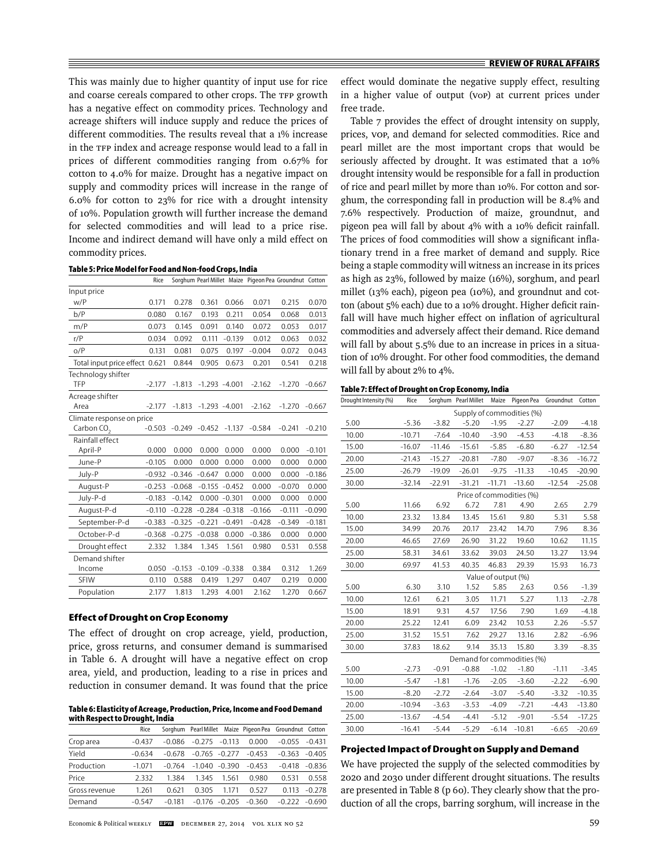This was mainly due to higher quantity of input use for rice and coarse cereals compared to other crops. The TFP growth has a negative effect on commodity prices. Technology and acreage shifters will induce supply and reduce the prices of different commodities. The results reveal that a 1% increase in the TFP index and acreage response would lead to a fall in prices of different commodities ranging from 0.67% for cotton to 4.0% for maize. Drought has a negative impact on supply and commodity prices will increase in the range of 6.0% for cotton to 23% for rice with a drought intensity of 10%. Population growth will further increase the demand for selected commodities and will lead to a price rise. Income and indirect demand will have only a mild effect on commodity prices.

**Table 5: Price Model for Food and Non-food Crops, India**

|                                                     | Rice     |          |          |                  |          | Sorghum Pearl Millet Maize Pigeon Pea Groundnut Cotton |          |
|-----------------------------------------------------|----------|----------|----------|------------------|----------|--------------------------------------------------------|----------|
| Input price                                         |          |          |          |                  |          |                                                        |          |
| W/P                                                 | 0.171    | 0.278    | 0.361    | 0.066            | 0.071    | 0.215                                                  | 0.070    |
| b/P                                                 | 0.080    | 0.167    | 0.193    | 0.211            | 0.054    | 0.068                                                  | 0.013    |
| m/P                                                 | 0.073    | 0.145    | 0.091    | 0.140            | 0.072    | 0.053                                                  | 0.017    |
| r/P                                                 | 0.034    | 0.092    | 0.111    | $-0.139$         | 0.012    | 0.063                                                  | 0.032    |
| O/P                                                 | 0.131    | 0.081    | 0.075    | 0.197            | $-0.004$ | 0.072                                                  | 0.043    |
| Total input price effect 0.621                      |          | 0.844    | 0.905    | 0.673            | 0.201    | 0.541                                                  | 0.218    |
| Technology shifter<br>TFP                           | $-2.177$ | $-1.813$ |          | $-1.293 - 4.001$ | $-2.162$ | $-1.270$                                               | $-0.667$ |
| Acreage shifter<br>Area                             | $-2.177$ | $-1.813$ |          | $-1.293 - 4.001$ | $-2.162$ | $-1.270$                                               | $-0.667$ |
| Climate response on price<br>Carbon CO <sub>2</sub> | $-0.503$ | $-0.249$ | $-0.452$ | $-1.137$         | $-0.584$ | $-0.241$                                               | $-0.210$ |
| Rainfall effect<br>April-P                          | 0.000    | 0.000    | 0.000    | 0.000            | 0.000    | 0.000                                                  | $-0.101$ |
| June-P                                              | $-0.105$ | 0.000    | 0.000    | 0.000            | 0.000    | 0.000                                                  | 0.000    |
| July-P                                              | $-0.932$ | $-0.346$ | $-0.647$ | 0.000            | 0.000    | 0.000                                                  | $-0.186$ |
| August-P                                            | $-0.253$ | $-0.068$ | $-0.155$ | $-0.452$         | 0.000    | $-0.070$                                               | 0.000    |
| July-P-d                                            | $-0.183$ | $-0.142$ |          | $0.000 - 0.301$  | 0.000    | 0.000                                                  | 0.000    |
| August-P-d                                          | $-0.110$ | $-0.228$ | $-0.284$ | $-0.318$         | $-0.166$ | $-0.111$                                               | $-0.090$ |
| September-P-d                                       | $-0.383$ | $-0.325$ | $-0.221$ | $-0.491$         | $-0.428$ | $-0.349$                                               | $-0.181$ |
| October-P-d                                         | $-0.368$ | $-0.275$ | $-0.038$ | 0.000            | $-0.386$ | 0.000                                                  | 0.000    |
| Drought effect                                      | 2.332    | 1.384    | 1.345    | 1.561            | 0.980    | 0.531                                                  | 0.558    |
| Demand shifter<br>Income                            | 0.050    | $-0.153$ |          | $-0.109 - 0.338$ | 0.384    | 0.312                                                  | 1.269    |
| <b>SFIW</b>                                         | 0.110    | 0.588    | 0.419    | 1.297            | 0.407    | 0.219                                                  | 0.000    |
| Population                                          | 2.177    | 1.813    | 1.293    | 4.001            | 2.162    | 1.270                                                  | 0.667    |

#### **Effect of Drought on Crop Economy**

The effect of drought on crop acreage, yield, production, price, gross returns, and consumer demand is summarised in Table 6. A drought will have a negative effect on crop area, yield, and production, leading to a rise in prices and reduction in consumer demand. It was found that the price

**Table 6: Elasticity of Acreage, Production, Price, Income and Food Demand with Respect to Drought, India**

|               | Rice     |          |                  |       | Sorghum Pearl Millet Maize Pigeon Pea Groundnut Cotton |                  |          |
|---------------|----------|----------|------------------|-------|--------------------------------------------------------|------------------|----------|
| Crop area     | $-0.437$ | $-0.086$ | $-0.275 - 0.113$ |       | 0.000                                                  | $-0.055 -0.431$  |          |
| Yield         | $-0.634$ | $-0.678$ | $-0.765 - 0.277$ |       | $-0.453$                                               | $-0.363 - 0.405$ |          |
| Production    | $-1.071$ | $-0.764$ | $-1.040 - 0.390$ |       | $-0.453$                                               | $-0.418 - 0.836$ |          |
| Price         | 2.332    | 1.384    | 1.345            | 1.561 | 0.980                                                  | 0.531            | 0.558    |
| Gross revenue | 1.261    | 0.621    | 0.305            | 1.171 | 0.527                                                  | 0.113            | $-0.278$ |
| Demand        | $-0.547$ | $-0.181$ | $-0.176 - 0.205$ |       | $-0.360$                                               | $-0.222 - 0.690$ |          |

effect would dominate the negative supply effect, resulting in a higher value of output (VOP) at current prices under free trade.

Table 7 provides the effect of drought intensity on supply, prices, VOP, and demand for selected commodities. Rice and pearl millet are the most important crops that would be seriously affected by drought. It was estimated that a 10% drought intensity would be responsible for a fall in production of rice and pearl millet by more than 10%. For cotton and sorghum, the corresponding fall in production will be 8.4% and 7.6% respectively. Production of maize, groundnut, and pigeon pea will fall by about  $4\%$  with a 10% deficit rainfall. The prices of food commodities will show a significant inflationary trend in a free market of demand and supply. Rice being a staple commodity will witness an increase in its prices as high as 23%, followed by maize (16%), sorghum, and pearl millet (13% each), pigeon pea (10%), and groundnut and cotton (about 5% each) due to a 10% drought. Higher deficit rainfall will have much higher effect on inflation of agricultural commodities and adversely affect their demand. Rice demand will fall by about 5.5% due to an increase in prices in a situation of 10% drought. For other food commodities, the demand will fall by about 2% to 4%.

## **Table 7: Effect of Drought on Crop Economy, India**

| Drought Intensity (%) | Rice     |                          | Sorghum Pearl Millet | Maize               |                            | Pigeon Pea Groundnut | Cotton   |  |  |
|-----------------------|----------|--------------------------|----------------------|---------------------|----------------------------|----------------------|----------|--|--|
|                       |          |                          |                      |                     | Supply of commodities (%)  |                      |          |  |  |
| 5.00                  | $-5.36$  | $-3.82$                  | $-5.20$              | $-1.95$             | $-2.27$                    | $-2.09$              | $-4.18$  |  |  |
| 10.00                 | $-10.71$ | $-7.64$                  | $-10.40$             | $-3.90$             | $-4.53$                    | $-4.18$              | $-8.36$  |  |  |
| 15.00                 | $-16.07$ | $-11.46$                 | $-15.61$             | $-5.85$             | $-6.80$                    | $-6.27$              | $-12.54$ |  |  |
| 20.00                 | $-21.43$ | $-15.27$                 | $-20.81$             | $-7.80$             | $-9.07$                    | $-8.36$              | $-16.72$ |  |  |
| 25.00                 | $-26.79$ | $-19.09$                 | $-26.01$             | $-9.75$             | $-11.33$                   | $-10.45$             | $-20.90$ |  |  |
| 30.00                 | $-32.14$ | $-22.91$                 | $-31.21$             | $-11.71$            | $-13.60$                   | $-12.54$             | $-25.08$ |  |  |
|                       |          | Price of commodities (%) |                      |                     |                            |                      |          |  |  |
| 5.00                  | 11.66    | 6.92                     | 6.72                 | 7.81                | 4.90                       | 2.65                 | 2.79     |  |  |
| 10.00                 | 23.32    | 13.84                    | 13.45                | 15.61               | 9.80                       | 5.31                 | 5.58     |  |  |
| 15.00                 | 34.99    | 20.76                    | 20.17                | 23.42               | 14.70                      | 7.96                 | 8.36     |  |  |
| 20.00                 | 46.65    | 27.69                    | 26.90                | 31.22               | 19.60                      | 10.62                | 11.15    |  |  |
| 25.00                 | 58.31    | 34.61                    | 33.62                | 39.03               | 24.50                      | 13.27                | 13.94    |  |  |
| 30.00                 | 69.97    | 41.53                    | 40.35                | 46.83               | 29.39                      | 15.93                | 16.73    |  |  |
|                       |          |                          |                      | Value of output (%) |                            |                      |          |  |  |
| 5.00                  | 6.30     | 3.10                     | 1.52                 | 5.85                | 2.63                       | 0.56                 | $-1.39$  |  |  |
| 10.00                 | 12.61    | 6.21                     | 3.05                 | 11.71               | 5.27                       | 1.13                 | $-2.78$  |  |  |
| 15.00                 | 18.91    | 9.31                     | 4.57                 | 17.56               | 7.90                       | 1.69                 | $-4.18$  |  |  |
| 20.00                 | 25.22    | 12.41                    | 6.09                 | 23.42               | 10.53                      | 2.26                 | $-5.57$  |  |  |
| 25.00                 | 31.52    | 15.51                    | 7.62                 | 29.27               | 13.16                      | 2.82                 | $-6.96$  |  |  |
| 30.00                 | 37.83    | 18.62                    | 9.14                 | 35.13               | 15.80                      | 3.39                 | $-8.35$  |  |  |
|                       |          |                          |                      |                     | Demand for commodities (%) |                      |          |  |  |
| 5.00                  | $-2.73$  | $-0.91$                  | $-0.88$              | $-1.02$             | $-1.80$                    | $-1.11$              | $-3.45$  |  |  |
| 10.00                 | $-5.47$  | $-1.81$                  | $-1.76$              | $-2.05$             | $-3.60$                    | $-2.22$              | $-6.90$  |  |  |
| 15.00                 | $-8.20$  | $-2.72$                  | $-2.64$              | $-3.07$             | $-5.40$                    | $-3.32$              | $-10.35$ |  |  |
| 20.00                 | $-10.94$ | $-3.63$                  | $-3.53$              | $-4.09$             | $-7.21$                    | $-4.43$              | $-13.80$ |  |  |
| 25.00                 | $-13.67$ | $-4.54$                  | $-4.41$              | $-5.12$             | $-9.01$                    | $-5.54$              | $-17.25$ |  |  |
| 30.00                 | $-16.41$ | $-5.44$                  | $-5.29$              | $-6.14$             | $-10.81$                   | $-6.65$              | $-20.69$ |  |  |

#### **Projected Impact of Drought on Supply and Demand**

We have projected the supply of the selected commodities by 2020 and 2030 under different drought situations. The results are presented in Table 8 (p 60). They clearly show that the production of all the crops, barring sorghum, will increase in the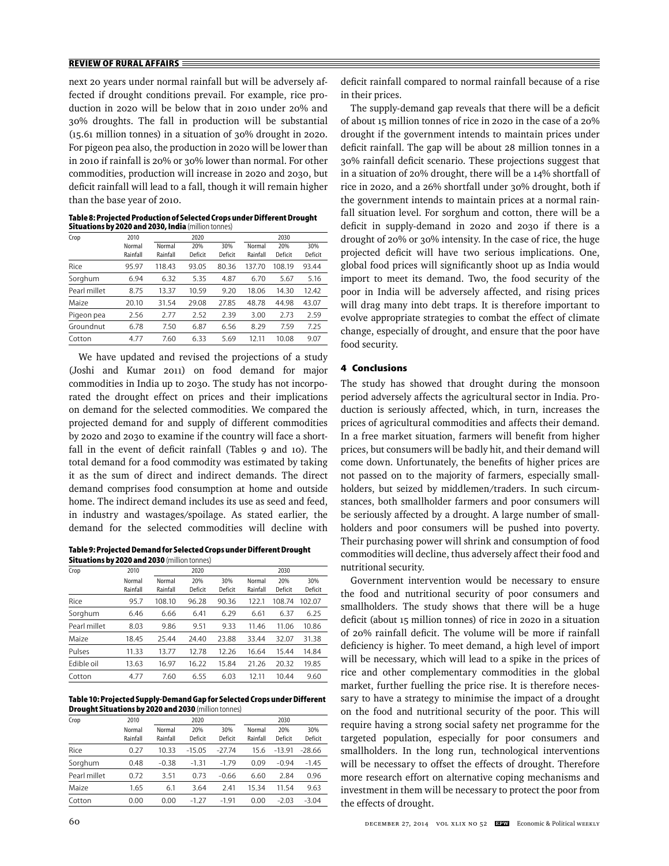next 20 years under normal rainfall but will be adversely affected if drought conditions prevail. For example, rice production in 2020 will be below that in 2010 under 20% and 30% droughts. The fall in production will be substantial (15.61 million tonnes) in a situation of 30% drought in 2020. For pigeon pea also, the production in 2020 will be lower than in 2010 if rainfall is 20% or 30% lower than normal. For other commodities, production will increase in 2020 and 2030, but deficit rainfall will lead to a fall, though it will remain higher than the base year of 2010.

**Table 8: Projected Production of Selected Crops under Different Drought Situations by 2020 and 2030, India** (million tonnes)

| Crop         | 2010     |          | 2020    |         |          | 2030    |         |
|--------------|----------|----------|---------|---------|----------|---------|---------|
|              | Normal   | Normal   | 20%     | 30%     | Normal   | 20%     | 30%     |
|              | Rainfall | Rainfall | Deficit | Deficit | Rainfall | Deficit | Deficit |
| Rice         | 95.97    | 118.43   | 93.05   | 80.36   | 137.70   | 108.19  | 93.44   |
| Sorghum      | 6.94     | 6.32     | 5.35    | 4.87    | 6.70     | 5.67    | 5.16    |
| Pearl millet | 8.75     | 13.37    | 10.59   | 9.20    | 18.06    | 14.30   | 12.42   |
| Maize        | 20.10    | 31.54    | 29.08   | 27.85   | 48.78    | 44.98   | 43.07   |
| Pigeon pea   | 2.56     | 2.77     | 2.52    | 2.39    | 3.00     | 2.73    | 2.59    |
| Groundnut    | 6.78     | 7.50     | 6.87    | 6.56    | 8.29     | 7.59    | 7.25    |
| Cotton       | 4.77     | 7.60     | 6.33    | 5.69    | 12.11    | 10.08   | 9.07    |
|              |          |          |         |         |          |         |         |

We have updated and revised the projections of a study (Joshi and Kumar 2011) on food demand for major commodities in India up to 2030. The study has not incorporated the drought effect on prices and their implications on demand for the selected commodities. We compared the projected demand for and supply of different commodities by 2020 and 2030 to examine if the country will face a shortfall in the event of deficit rainfall (Tables 9 and 10). The total demand for a food commodity was estimated by taking it as the sum of direct and indirect demands. The direct demand comprises food consumption at home and outside home. The indirect demand includes its use as seed and feed, in industry and wastages/spoilage. As stated earlier, the demand for the selected commodities will decline with

**Table 9: Projected Demand for Selected Crops under Different Drought Situations by 2020 and 2030** (million tonnes)

| Crop         | 2010     |          | 2020    |         |          | 2030    |         |  |
|--------------|----------|----------|---------|---------|----------|---------|---------|--|
|              | Normal   | Normal   | 20%     | 30%     | Normal   | 20%     | 30%     |  |
|              | Rainfall | Rainfall | Deficit | Deficit | Rainfall | Deficit | Deficit |  |
| Rice         | 95.7     | 108.10   | 96.28   | 90.36   | 122.1    | 108.74  | 102.07  |  |
| Sorghum      | 6.46     | 6.66     | 6.41    | 6.29    | 6.61     | 6.37    | 6.25    |  |
| Pearl millet | 8.03     | 9.86     | 9.51    | 9.33    | 11.46    | 11.06   | 10.86   |  |
| Maize        | 18.45    | 25.44    | 24.40   | 23.88   | 33.44    | 32.07   | 31.38   |  |
| Pulses       | 11.33    | 13.77    | 12.78   | 12.26   | 16.64    | 15.44   | 14.84   |  |
| Edible oil   | 13.63    | 16.97    | 16.22   | 15.84   | 21.26    | 20.32   | 19.85   |  |
| Cotton       | 4.77     | 7.60     | 6.55    | 6.03    | 12.11    | 10.44   | 9.60    |  |

**Table 10: Projected Supply-Demand Gap for Selected Crops under Different Drought Situations by 2020 and 2030** (million tonnes)

| Crop         | 2010     |          | 2020     |          |          | 2030     |          |  |  |
|--------------|----------|----------|----------|----------|----------|----------|----------|--|--|
|              | Normal   | Normal   | 20%      | 30%      | Normal   | 20%      | 30%      |  |  |
|              | Rainfall | Rainfall | Deficit  | Deficit  | Rainfall | Deficit  | Deficit  |  |  |
| Rice         | 0.27     | 10.33    | $-15.05$ | $-27.74$ | 15.6     | $-13.91$ | $-28.66$ |  |  |
| Sorghum      | 0.48     | $-0.38$  | $-1.31$  | $-1.79$  | 0.09     | $-0.94$  | $-1.45$  |  |  |
| Pearl millet | 0.72     | 3.51     | 0.73     | $-0.66$  | 6.60     | 2.84     | 0.96     |  |  |
| Maize        | 1.65     | 6.1      | 3.64     | 2.41     | 15.34    | 11.54    | 9.63     |  |  |
| Cotton       | 0.00     | 0.00     | $-1.27$  | $-1.91$  | 0.00     | $-2.03$  | $-3.04$  |  |  |

deficit rainfall compared to normal rainfall because of a rise in their prices.

The supply-demand gap reveals that there will be a deficit of about 15 million tonnes of rice in 2020 in the case of a 20% drought if the government intends to maintain prices under deficit rainfall. The gap will be about 28 million tonnes in a 30% rainfall deficit scenario. These projections suggest that in a situation of 20% drought, there will be a 14% shortfall of rice in 2020, and a 26% shortfall under 30% drought, both if the government intends to maintain prices at a normal rainfall situation level. For sorghum and cotton, there will be a deficit in supply-demand in 2020 and 2030 if there is a drought of 20% or 30% intensity. In the case of rice, the huge projected deficit will have two serious implications. One, global food prices will significantly shoot up as India would import to meet its demand. Two, the food security of the poor in India will be adversely affected, and rising prices will drag many into debt traps. It is therefore important to evolve appropriate strategies to combat the effect of climate change, especially of drought, and ensure that the poor have food security.

#### **4 Conclusions**

The study has showed that drought during the monsoon period adversely affects the agricultural sector in India. Production is seriously affected, which, in turn, increases the prices of agricultural commodities and affects their demand. In a free market situation, farmers will benefit from higher prices, but consumers will be badly hit, and their demand will come down. Unfortunately, the benefits of higher prices are not passed on to the majority of farmers, especially smallholders, but seized by middlemen/traders. In such circumstances, both smallholder farmers and poor consumers will be seriously affected by a drought. A large number of smallholders and poor consumers will be pushed into poverty. Their purchasing power will shrink and consumption of food commodities will decline, thus adversely affect their food and nutritional security.

Government intervention would be necessary to ensure the food and nutritional security of poor consumers and smallholders. The study shows that there will be a huge deficit (about 15 million tonnes) of rice in 2020 in a situation of 20% rainfall deficit. The volume will be more if rainfall deficiency is higher. To meet demand, a high level of import will be necessary, which will lead to a spike in the prices of rice and other complementary commodities in the global market, further fuelling the price rise. It is therefore necessary to have a strategy to minimise the impact of a drought on the food and nutritional security of the poor. This will require having a strong social safety net programme for the targeted population, especially for poor consumers and smallholders. In the long run, technological interventions will be necessary to offset the effects of drought. Therefore more research effort on alternative coping mechanisms and investment in them will be necessary to protect the poor from the effects of drought.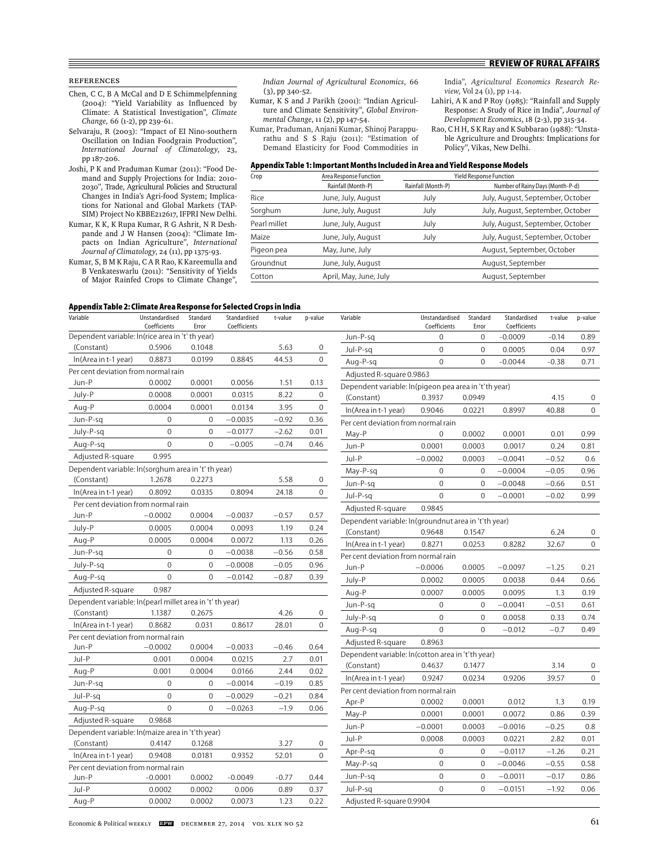## References

- Chen, C C, B A McCal and D E Schimmelpfenning (2004): "Yield Variability as Influenced by Climate: A Statistical Investigation", *Climate Change,* 66 (1-2), pp 239-61.
- Selvaraju, R (2003): "Impact of EI Nino-southern Oscillation on Indian Foodgrain Production", *International Journal of Climatology*, 23, pp 187-206.
- Joshi, P K and Praduman Kumar (2011): "Food Demand and Supply Projections for India: 2010- 2030", Trade, Agricultural Policies and Structural Changes in India's Agri-food System; Implications for National and Global Markets (TAP-SIM) Project No KBBE212617, IFPRI New Delhi.
- Kumar, K K, K Rupa Kumar, R G Ashrit, N R Deshpande and J W Hansen (2004): "Climate Impacts on Indian Agriculture", *International Journal of Climatology*, 24 (11), pp 1375-93.
- Kumar, S, B M K Raju, C A R Rao, K Kareemulla and B Venkateswarlu (2011): "Sensitivity of Yields of Major Rainfed Crops to Climate Change",

*Indian Journal of Agricultural Economics*, 66 (3), pp 340-52.

- Kumar, K S and J Parikh (2001): "Indian Agriculture and Climate Sensitivity", *Global Environmental Change*, 11 (2), pp 147-54.
- Kumar, Praduman, Anjani Kumar, Shinoj Parappurathu and S S Raju (2011): "Estimation of Demand Elasticity for Food Commodities in

India", *Agricultural Economics Research Review,* Vol 24 (1), pp 1-14.

- Lahiri, A K and P Roy (1985): "Rainfall and Supply Response: A Study of Rice in India", *Journal of Development Economics*, 18 (2-3), pp 315-34.
- Rao, C H H, S K Ray and K Subbarao (1988): "Unstable Agriculture and Droughts: Implications for Policy", Vikas, New Delhi.

#### **Appendix Table 1: Important Months Included in Area and Yield Response Models**

| Crop         | Area Response Function |                    | <b>Yield Response Function</b>   |
|--------------|------------------------|--------------------|----------------------------------|
|              | Rainfall (Month-P)     | Rainfall (Month-P) | Number of Rainy Days (Month-P-d) |
| Rice         | June, July, August     | July               | July, August, September, October |
| Sorghum      | June, July, August     | July               | July, August, September, October |
| Pearl millet | June, July, August     | July               | July, August, September, October |
| Maize        | June, July, August     | July               | July, August, September, October |
| Pigeon pea   | May, June, July        |                    | August, September, October       |
| Groundnut    | June, July, August     |                    | August, September                |
| Cotton       | April, May, June, July |                    | August, September                |

## **Appendix Table 2: Climate Area Response for Selected Crops in India**

| Appenuix Table 2: Chinate Area Response for Selected Crops in India<br>Variable | Unstandardised<br>Coefficients | Standard<br>Error | Standardised<br>Coefficients | t-value | p-value      | Variable                                              | Unstandardised<br>Coefficients | Standard<br>Error | Standardised<br>Coefficients | t-value | p-value        |
|---------------------------------------------------------------------------------|--------------------------------|-------------------|------------------------------|---------|--------------|-------------------------------------------------------|--------------------------------|-------------------|------------------------------|---------|----------------|
| Dependent variable: ln(rice area in 't' th year)                                |                                |                   |                              |         |              | Jun-P-sq                                              | $\mathbf{0}$                   | 0                 | $-0.0009$                    | $-0.14$ | 0.89           |
| (Constant)                                                                      | 0.5906                         | 0.1048            |                              | 5.63    | 0            | Jul-P-sq                                              | $\mathbf{0}$                   | $\mathbf 0$       | 0.0005                       | 0.04    | 0.97           |
| In(Area in t-1 year)                                                            | 0.8873                         | 0.0199            | 0.8845                       | 44.53   | $\mathbf 0$  | Aug-P-sq                                              | $\mathbf 0$                    | $\mathbf 0$       | $-0.0044$                    | $-0.38$ | 0.71           |
| Per cent deviation from normal rain                                             |                                |                   |                              |         |              | Adjusted R-square 0.9863                              |                                |                   |                              |         |                |
| Jun-P                                                                           | 0.0002                         | 0.0001            | 0.0056                       | 1.51    | 0.13         | Dependent variable: ln(pigeon pea area in 't'th year) |                                |                   |                              |         |                |
| July-P                                                                          | 0.0008                         | 0.0001            | 0.0315                       | 8.22    | $\mathbf 0$  | (Constant)                                            | 0.3937                         | 0.0949            |                              | 4.15    | $\mathbf 0$    |
| Aug-P                                                                           | 0.0004                         | 0.0001            | 0.0134                       | 3.95    | 0            | In(Area in t-1 year)                                  | 0.9046                         | 0.0221            | 0.8997                       | 40.88   | $\mathbf 0$    |
| Jun-P-sq                                                                        | $\mathbf{0}$                   | $\mathbf{0}$      | $-0.0035$                    | $-0.92$ | 0.36         | Per cent deviation from normal rain                   |                                |                   |                              |         |                |
| July-P-sq                                                                       | $\boldsymbol{0}$               | $\mathbf{0}$      | $-0.0177$                    | $-2.62$ | 0.01         | May-P                                                 | $\boldsymbol{0}$               | 0.0002            | 0.0001                       | 0.01    | 0.99           |
| Aug-P-sq                                                                        | $\overline{0}$                 | $\mathbf 0$       | $-0.005$                     | $-0.74$ | 0.46         | Jun-P                                                 | 0.0001                         | 0.0003            | 0.0017                       | 0.24    | 0.81           |
| Adjusted R-square                                                               | 0.995                          |                   |                              |         |              | Jul-P                                                 | $-0.0002$                      | 0.0003            | $-0.0041$                    | $-0.52$ | 0.6            |
| Dependent variable: ln(sorghum area in 't' th year)                             |                                |                   |                              |         |              | May-P-sg                                              | $\mathbf{0}$                   | $\mathbf{0}$      | $-0.0004$                    | $-0.05$ | 0.96           |
| (Constant)                                                                      | 1.2678                         | 0.2273            |                              | 5.58    | 0            | Jun-P-sa                                              | $\Omega$                       | $\Omega$          | $-0.0048$                    | $-0.66$ | 0.51           |
| In(Area in t-1 year)                                                            | 0.8092                         | 0.0335            | 0.8094                       | 24.18   | $\mathbf{0}$ | Jul-P-sq                                              | $\Omega$                       | $\Omega$          | $-0.0001$                    | $-0.02$ | 0.99           |
| Per cent deviation from normal rain                                             |                                |                   |                              |         |              | Adjusted R-square                                     | 0.9845                         |                   |                              |         |                |
| Jun-P                                                                           | $-0.0002$                      | 0.0004            | $-0.0037$                    | $-0.57$ | 0.57         | Dependent variable: ln(groundnut area in 't'th year)  |                                |                   |                              |         |                |
| July-P                                                                          | 0.0005                         | 0.0004            | 0.0093                       | 1.19    | 0.24         | (Constant)                                            | 0.9648                         | 0.1547            |                              | 6.24    | $\mathbf 0$    |
| Aug-P                                                                           | 0.0005                         | 0.0004            | 0.0072                       | 1.13    | 0.26         | In(Area in t-1 year)                                  | 0.8271                         | 0.0253            | 0.8282                       | 32.67   | $\mathbf 0$    |
| Jun-P-sq                                                                        | $\mathbf{0}$                   | $\mathbf{0}$      | $-0.0038$                    | $-0.56$ | 0.58         | Per cent deviation from normal rain                   |                                |                   |                              |         |                |
| July-P-sq                                                                       | $\mathbf{0}$                   | $\mathbf{0}$      | $-0.0008$                    | $-0.05$ | 0.96         | Jun-P                                                 | $-0.0006$                      | 0.0005            | $-0.0097$                    | $-1.25$ | 0.21           |
| Aug-P-sg                                                                        | $\overline{0}$                 | $\overline{0}$    | $-0.0142$                    | $-0.87$ | 0.39         | July-P                                                | 0.0002                         | 0.0005            | 0.0038                       | 0.44    | 0.66           |
| Adjusted R-square                                                               | 0.987                          |                   |                              |         |              | Aug-P                                                 | 0.0007                         | 0.0005            | 0.0095                       | 1.3     | 0.19           |
| Dependent variable: ln(pearl millet area in 't' th year)                        |                                |                   |                              |         |              | Jun-P-sq                                              | $\mathbf{0}$                   | $\mathbf{0}$      | $-0.0041$                    | $-0.51$ | 0.61           |
| (Constant)                                                                      | 1.1387                         | 0.2675            |                              | 4.26    | 0            | July-P-sq                                             | $\mathbf{0}$                   | $\mathbf 0$       | 0.0058                       | 0.33    | 0.74           |
| In(Area in t-1 year)                                                            | 0.8682                         | 0.031             | 0.8617                       | 28.01   | $\mathbf 0$  | Aug-P-sq                                              | $\overline{0}$                 | $\overline{0}$    | $-0.012$                     | $-0.7$  | 0.49           |
| Per cent deviation from normal rain                                             |                                |                   |                              |         |              | Adjusted R-square                                     | 0.8963                         |                   |                              |         |                |
| Jun-P                                                                           | $-0.0002$                      | 0.0004            | $-0.0033$                    | $-0.46$ | 0.64         | Dependent variable: In(cotton area in 't'th year)     |                                |                   |                              |         |                |
| Jul-P                                                                           | 0.001                          | 0.0004            | 0.0215                       | 2.7     | 0.01         | (Constant)                                            | 0.4637                         | 0.1477            |                              | 3.14    | $\mathbf 0$    |
| Aug-P                                                                           | 0.001                          | 0.0004            | 0.0166                       | 2.44    | 0.02         | In(Area in t-1 year)                                  | 0.9247                         | 0.0234            | 0.9206                       | 39.57   | $\overline{0}$ |
| Jun-P-sq                                                                        | $\boldsymbol{0}$               | $\mathbf 0$       | $-0.0014$                    | $-0.19$ | 0.85         | Per cent deviation from normal rain                   |                                |                   |                              |         |                |
| Jul-P-sa                                                                        | $\mathbf{0}$                   | $\Omega$          | $-0.0029$                    | $-0.21$ | 0.84         | Apr-P                                                 | 0.0002                         | 0.0001            | 0.012                        | 1.3     | 0.19           |
| Aug-P-sg                                                                        | $\mathbf{0}$                   | $\Omega$          | $-0.0263$                    | $-1.9$  | 0.06         | May-P                                                 | 0.0001                         | 0.0001            | 0.0072                       | 0.86    | 0.39           |
| Adjusted R-square                                                               | 0.9868                         |                   |                              |         |              | Jun-P                                                 | $-0.0001$                      | 0.0003            | $-0.0016$                    | $-0.25$ | 0.8            |
| Dependent variable: ln(maize area in 't'th year)                                |                                |                   |                              |         |              | Jul-P                                                 | 0.0008                         | 0.0003            | 0.0221                       | 2.82    | 0.01           |
| (Constant)                                                                      | 0.4147                         | 0.1268            |                              | 3.27    | $\mathbf 0$  | Apr-P-sq                                              | $\mathbf{0}$                   | $\mathbf{0}$      | $-0.0117$                    | $-1.26$ | 0.21           |
| In(Area in t-1 year)                                                            | 0.9408                         | 0.0181            | 0.9352                       | 52.01   | $\mathbf 0$  | May-P-sq                                              | $\mathbf 0$                    | $\Omega$          | $-0.0046$                    | $-0.55$ | 0.58           |
| Per cent deviation from normal rain                                             |                                |                   |                              |         |              | Jun-P-sq                                              | $\Omega$                       | $\Omega$          | $-0.0011$                    | $-0.17$ | 0.86           |
| Jun-P                                                                           | $-0.0001$                      | 0.0002            | $-0.0049$                    | $-0.77$ | 0.44         |                                                       | $\overline{0}$                 | $\mathbf{0}$      |                              |         |                |
| Jul-P                                                                           | 0.0002                         | 0.0002            | 0.006                        | 0.89    | 0.37         | Jul-P-sa                                              |                                |                   | $-0.0151$                    | $-1.92$ | 0.06           |
| Aug-P                                                                           | 0.0002                         | 0.0002            | 0.0073                       | 1.23    | 0.22         | Adjusted R-square 0.9904                              |                                |                   |                              |         |                |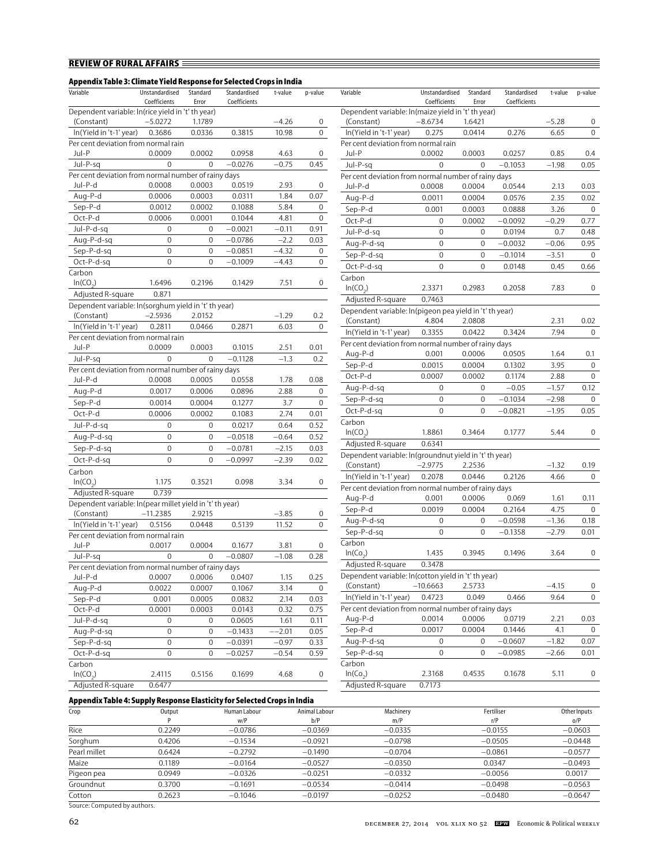## **Appendix Table 3: Climate Yield Response for Selected Crops in India**

| Appenuix Table 5: Chinate Tield Nesponse for Selected Crops in India<br>Variable | Unstandardised   | Standard     | Standardised | t-value | p-value        | Variable                                                       | Unstandardised   | Standard         | Standardised | t-value | p-value        |
|----------------------------------------------------------------------------------|------------------|--------------|--------------|---------|----------------|----------------------------------------------------------------|------------------|------------------|--------------|---------|----------------|
| Dependent variable: ln(rice yield in 't' th year)                                | Coefficients     | Error        | Coefficients |         |                | Dependent variable: ln(maize yield in 't' th year)             | Coefficients     | Error            | Coefficients |         |                |
| (Constant)                                                                       | $-5.0272$        | 1.1789       |              | $-4.26$ | 0              | (Constant)                                                     | $-8.6734$        | 1.6421           |              | $-5.28$ | $\mathbf 0$    |
| In(Yield in 't-1' year)                                                          | 0.3686           | 0.0336       | 0.3815       | 10.98   | $\mathbf 0$    | In(Yield in 't-1' year)                                        | 0.275            | 0.0414           | 0.276        | 6.65    | $\mathbf 0$    |
| Per cent deviation from normal rain                                              |                  |              |              |         |                | Per cent deviation from normal rain                            |                  |                  |              |         |                |
| Jul-P                                                                            | 0.0009           | 0.0002       | 0.0958       | 4.63    | 0              | Jul-P                                                          | 0.0002           | 0.0003           | 0.0257       | 0.85    | 0.4            |
| Jul-P-sq                                                                         | $\mathbf 0$      | $\mathbf{0}$ | $-0.0276$    | $-0.75$ | 0.45           | Jul-P-sq                                                       | $\mathbf 0$      | $\mathbf{0}$     | $-0.1053$    | $-1.98$ | 0.05           |
| Per cent deviation from normal number of rainy days                              |                  |              |              |         |                | Per cent deviation from normal number of rainy days            |                  |                  |              |         |                |
| Jul-P-d                                                                          | 0.0008           | 0.0003       | 0.0519       | 2.93    | 0              | Jul-P-d                                                        | 0.0008           | 0.0004           | 0.0544       | 2.13    | 0.03           |
| Aug-P-d                                                                          | 0.0006           | 0.0003       | 0.0311       | 1.84    | 0.07           | Aug-P-d                                                        | 0.0011           | 0.0004           | 0.0576       | 2.35    | 0.02           |
| Sep-P-d                                                                          | 0.0012           | 0.0002       | 0.1088       | 5.84    | 0              | Sep-P-d                                                        | 0.001            | 0.0003           | 0.0888       | 3.26    | $\mathbf 0$    |
| Oct-P-d                                                                          | 0.0006           | 0.0001       | 0.1044       | 4.81    | $\mathbf 0$    | Oct-P-d                                                        | $\mathbf{0}$     | 0.0002           | $-0.0092$    | $-0.29$ | 0.77           |
| Jul-P-d-sq                                                                       | $\mathbf 0$      | $\mathbf 0$  | $-0.0021$    | $-0.11$ | 0.91           | Jul-P-d-sq                                                     | $\mathbf{0}$     | $\mathbf{0}$     | 0.0194       | 0.7     | 0.48           |
| Aug-P-d-sg                                                                       | $\mathbf 0$      | $\mathbf 0$  | $-0.0786$    | $-2.2$  | 0.03           | Aug-P-d-sg                                                     | $\mathbf 0$      | $\Omega$         | $-0.0032$    | $-0.06$ | 0.95           |
| Sep-P-d-sq                                                                       | $\mathbf 0$      | $\mathbf{0}$ | $-0.0851$    | $-4.32$ | 0              | Sep-P-d-sq                                                     | $\mathbf 0$      | $\mathbf{0}$     | $-0.1014$    | $-3.51$ | $\mathbf 0$    |
| Oct-P-d-sq                                                                       | $\mathbf{0}$     | $\mathbf{0}$ | $-0.1009$    | $-4.43$ | $\mathbf 0$    | Oct-P-d-sq                                                     | $\mathbf 0$      | $\mathbf{0}$     | 0.0148       | 0.45    | 0.66           |
| Carbon                                                                           |                  |              |              |         |                | Carbon                                                         |                  |                  |              |         |                |
| ln(CO <sub>2</sub> )                                                             | 1.6496           | 0.2196       | 0.1429       | 7.51    | $\overline{0}$ | ln(CO <sub>2</sub> )                                           | 2.3371           | 0.2983           | 0.2058       | 7.83    | $\mathbf 0$    |
| Adjusted R-square                                                                | 0.871            |              |              |         |                | Adjusted R-square                                              | 0.7463           |                  |              |         |                |
| Dependent variable: ln(sorghum yield in 't' th year)                             |                  |              |              |         |                | Dependent variable: ln(pigeon pea yield in 't' th year)        |                  |                  |              |         |                |
| (Constant)                                                                       | $-2.5936$        | 2.0152       |              | $-1.29$ | $0.2\,$        | (Constant)                                                     | 4.804            | 2.0808           |              | 2.31    | 0.02           |
| In(Yield in 't-1' year)                                                          | 0.2811           | 0.0466       | 0.2871       | 6.03    | $\mathbf{0}$   |                                                                |                  | 0.0422           | 0.3424       | 7.94    | $\mathbf 0$    |
| Per cent deviation from normal rain                                              |                  |              |              |         |                | In(Yield in 't-1' year)                                        | 0.3355           |                  |              |         |                |
| Jul-P                                                                            | 0.0009           | 0.0003       | 0.1015       | 2.51    | 0.01           | Per cent deviation from normal number of rainy days<br>Aug-P-d | 0.001            | 0.0006           | 0.0505       | 1.64    | 0.1            |
| Jul-P-sq                                                                         | $\mathbf{0}$     | $\mathbf{0}$ | $-0.1128$    | $-1.3$  | 0.2            | Sep-P-d                                                        | 0.0015           |                  |              | 3.95    | $\overline{0}$ |
| Per cent deviation from normal number of rainy days                              |                  |              |              |         |                |                                                                | 0.0007           | 0.0004<br>0.0002 | 0.1302       |         |                |
| Jul-P-d                                                                          | 0.0008           | 0.0005       | 0.0558       | 1.78    | 0.08           | Oct-P-d                                                        |                  |                  | 0.1174       | 2.88    | $\mathbf 0$    |
| Aug-P-d                                                                          | 0.0017           | 0.0006       | 0.0896       | 2.88    | 0              | Aug-P-d-sg                                                     | $\mathbf{0}$     | $\mathbf{0}$     | $-0.05$      | $-1.57$ | 0.12           |
| Sep-P-d                                                                          | 0.0014           | 0.0004       | 0.1277       | 3.7     | $\mathbf 0$    | Sep-P-d-sq                                                     | $\mathbf{0}$     | $\mathbf{0}$     | $-0.1034$    | $-2.98$ | $\mathbf 0$    |
| Oct-P-d                                                                          | 0.0006           | 0.0002       | 0.1083       | 2.74    | 0.01           | Oct-P-d-sq                                                     | $\mathbf 0$      | $\mathbf{0}$     | $-0.0821$    | $-1.95$ | 0.05           |
| Jul-P-d-sq                                                                       | $\mathbf 0$      | 0            | 0.0217       | 0.64    | 0.52           | Carbon                                                         |                  |                  |              |         |                |
| Aug-P-d-sq                                                                       | $\boldsymbol{0}$ | $\mathbf 0$  | $-0.0518$    | $-0.64$ | 0.52           | ln(CO <sub>2</sub> )                                           | 1.8861           | 0.3464           | 0.1777       | 5.44    | $\mathbf 0$    |
| Sep-P-d-sq                                                                       | $\boldsymbol{0}$ | $\mathbf 0$  | $-0.0781$    | $-2.15$ | 0.03           | Adjusted R-square                                              | 0.6341           |                  |              |         |                |
| Oct-P-d-sq                                                                       | $\overline{0}$   | $\Omega$     | $-0.0997$    | $-2.39$ | 0.02           | Dependent variable: ln(groundnut yield in 't' th year)         |                  |                  |              |         |                |
| Carbon                                                                           |                  |              |              |         |                | (Constant)                                                     | $-2.9775$        | 2.2536           |              | $-1.32$ | 0.19           |
| ln(CO <sub>2</sub> )                                                             | 1.175            | 0.3521       | 0.098        | 3.34    | 0              | In(Yield in 't-1' year)                                        | 0.2078           | 0.0446           | 0.2126       | 4.66    | $\mathbf 0$    |
| Adjusted R-square                                                                | 0.739            |              |              |         |                | Per cent deviation from normal number of rainy days            |                  |                  |              |         |                |
| Dependent variable: ln(pear millet yield in 't' th year)                         |                  |              |              |         |                | Aug-P-d                                                        | 0.001            | 0.0006           | 0.069        | 1.61    | 0.11           |
| (Constant)                                                                       | $-11.2385$       | 2.9215       |              | $-3.85$ | 0              | Sep-P-d                                                        | 0.0019           | 0.0004           | 0.2164       | 4.75    | $\overline{0}$ |
| In(Yield in 't-1' year)                                                          | 0.5156           | 0.0448       | 0.5139       | 11.52   | 0              | Aug-P-d-sq                                                     | $\mathbf 0$      | $\mathbf{0}$     | $-0.0598$    | $-1.36$ | 0.18           |
| Per cent deviation from normal rain                                              |                  |              |              |         |                | Sep-P-d-sq                                                     | $\mathbf 0$      | $\mathbf{0}$     | $-0.1358$    | $-2.79$ | 0.01           |
| Jul-P                                                                            | 0.0017           | 0.0004       | 0.1677       | 3.81    | 0              | Carbon                                                         |                  |                  |              |         |                |
| Jul-P-sq                                                                         | $\mathbf{0}$     | $\mathbf{0}$ | $-0.0807$    | $-1.08$ | 0.28           | $ln(C_0)$                                                      | 1.435            | 0.3945           | 0.1496       | 3.64    | $\mathbf 0$    |
| Per cent deviation from normal number of rainy days                              |                  |              |              |         |                | Adjusted R-square                                              | 0.3478           |                  |              |         |                |
| Jul-P-d                                                                          | 0.0007           | 0.0006       | 0.0407       | 1.15    | 0.25           | Dependent variable: ln(cotton yield in 't' th year)            |                  |                  |              |         |                |
| Aug-P-d                                                                          | 0.0022           | 0.0007       | 0.1067       | 3.14    | $\overline{0}$ | (Constant)                                                     | $-10.6663$       | 2.5733           |              | $-4.15$ | $\mathbf 0$    |
| $Sep-P-d$                                                                        | 0.001            | 0.0005       | 0.0832       | 2.14    | 0.03           | In(Yield in 't-1' year)                                        | 0.4723           | 0.049            | 0.466        | 9.64    | $\mathbf 0$    |
| $Oct-P-d$                                                                        | 0.0001           | 0.0003       | 0.0143       | 0.32    | 0.75           | Per cent deviation from normal number of rainy days            |                  |                  |              |         |                |
| Jul-P-d-sq                                                                       | $\mathbf 0$      | $\mathbf 0$  | 0.0605       | 1.61    | 0.11           | Aug-P-d                                                        | 0.0014           | 0.0006           | 0.0719       | 2.21    | 0.03           |
| Aug-P-d-sg                                                                       | $\boldsymbol{0}$ | $\mathbf 0$  | $-0.1433$    | $-2.01$ | 0.05           | Sep-P-d                                                        | 0.0017           | 0.0004           | 0.1446       | 4.1     | $\mathbf 0$    |
| Sep-P-d-sq                                                                       | $\boldsymbol{0}$ | $\mathbf 0$  | $-0.0391$    | $-0.97$ | 0.33           | Aug-P-d-sq                                                     | $\boldsymbol{0}$ | $\mathbf 0$      | $-0.0607$    | $-1.82$ | 0.07           |
| Oct-P-d-sq                                                                       | 0                | $\mathbf 0$  | $-0.0257$    | $-0.54$ | 0.59           | Sep-P-d-sq                                                     | $\boldsymbol{0}$ | $\mathbf 0$      | $-0.0985$    | $-2.66$ | 0.01           |
| Carbon                                                                           |                  |              |              |         |                | Carbon                                                         |                  |                  |              |         |                |
| $ln(CO_2)$                                                                       | 2.4115           | 0.5156       | 0.1699       | 4.68    | 0              | In(Co <sub>2</sub> )                                           | 2.3168           | 0.4535           | 0.1678       | 5.11    | $\mathbf 0$    |
| Adjusted R-square                                                                | 0.6477           |              |              |         |                | Adjusted R-square                                              | 0.7173           |                  |              |         |                |

| Variable                                                | Unstandardised<br>Coefficients | Standard<br>Error | Standardised<br>Coefficients | t-value | p-value |
|---------------------------------------------------------|--------------------------------|-------------------|------------------------------|---------|---------|
| Dependent variable: ln(maize yield in 't' th year)      |                                |                   |                              |         |         |
| (Constant)                                              | $-8.6734$                      | 1.6421            |                              | $-5.28$ | 0       |
| In(Yield in 't-1' year)                                 | 0.275                          | 0.0414            | 0.276                        | 6.65    | 0       |
| Per cent deviation from normal rain                     |                                |                   |                              |         |         |
| Jul-P                                                   | 0.0002                         | 0.0003            | 0.0257                       | 0.85    | 0.4     |
| Jul-P-sq                                                | 0                              | 0                 | $-0.1053$                    | $-1.98$ | 0.05    |
| Per cent deviation from normal number of rainy days     |                                |                   |                              |         |         |
| Jul-P-d                                                 | 0.0008                         | 0.0004            | 0.0544                       | 2.13    | 0.03    |
| Aug-P-d                                                 | 0.0011                         | 0.0004            | 0.0576                       | 2.35    | 0.02    |
| Sep-P-d                                                 | 0.001                          | 0.0003            | 0.0888                       | 3.26    | 0       |
| Oct-P-d                                                 | 0                              | 0.0002            | $-0.0092$                    | $-0.29$ | 0.77    |
| Jul-P-d-sq                                              | 0                              | 0                 | 0.0194                       | 0.7     | 0.48    |
| Aug-P-d-sq                                              | 0                              | 0                 | $-0.0032$                    | $-0.06$ | 0.95    |
| Sep-P-d-sq                                              | 0                              | 0                 | $-0.1014$                    | $-3.51$ | 0       |
| Oct-P-d-sq                                              | 0                              | 0                 | 0.0148                       | 0.45    | 0.66    |
| Carbon                                                  |                                |                   |                              |         |         |
| $ln(CO_2)$                                              | 2.3371                         | 0.2983            | 0.2058                       | 7.83    | 0       |
| Adjusted R-square                                       | 0.7463                         |                   |                              |         |         |
| Dependent variable: ln(pigeon pea yield in 't' th year) |                                |                   |                              |         |         |
| (Constant)                                              | 4.804                          | 2.0808            |                              | 2.31    | 0.02    |
| In(Yield in 't-1' year)                                 | 0.3355                         | 0.0422            | 0.3424                       | 7.94    | 0       |
| Per cent deviation from normal number of rainy days     |                                |                   |                              |         |         |
| Aug-P-d                                                 | 0.001                          | 0.0006            | 0.0505                       | 1.64    | 0.1     |
| Sep-P-d                                                 | 0.0015                         | 0.0004            | 0.1302                       | 3.95    | 0       |
| Oct-P-d                                                 | 0.0007                         | 0.0002            | 0.1174                       | 2.88    | 0       |
| Aug-P-d-sq                                              | 0                              | 0                 | $-0.05$                      | $-1.57$ | 0.12    |
| Sep-P-d-sq                                              | 0                              | 0                 | $-0.1034$                    | $-2.98$ | 0       |
| Oct-P-d-sq                                              | 0                              | 0                 | $-0.0821$                    | $-1.95$ | 0.05    |
| Carbon                                                  |                                |                   |                              |         |         |
| $ln(CO_2)$                                              | 1.8861                         | 0.3464            | 0.1777                       | 5.44    | 0       |
| Adjusted R-square                                       | 0.6341                         |                   |                              |         |         |
| Dependent variable: ln(groundnut yield in 't' th year)  |                                |                   |                              |         |         |
| (Constant)                                              | $-2.9775$                      | 2.2536            |                              | $-1.32$ | 0.19    |
| In(Yield in 't-1' year)                                 | 0.2078                         | 0.0446            | 0.2126                       | 4.66    | 0       |
| Per cent deviation from normal number of rainy days     |                                |                   |                              |         |         |
| Aug-P-d                                                 | 0.001                          | 0.0006            | 0.069                        | 1.61    | 0.11    |
| Sep-P-d                                                 | 0.0019                         | 0.0004            | 0.2164                       | 4.75    | 0       |
| Aug-P-d-sq                                              | 0                              | 0                 | $-0.0598$                    | $-1.36$ | 0.18    |
| Sep-P-d-sq                                              | $\mathbf 0$                    | 0                 | $-0.1358$                    | $-2.79$ | 0.01    |
| Carbon                                                  |                                |                   |                              |         |         |
| ln(Co <sub>2</sub> )                                    | 1.435                          | 0.3945            | 0.1496                       | 3.64    | 0       |
| Adjusted R-square                                       | 0.3478                         |                   |                              |         |         |
| Dependent variable: ln(cotton yield in 't' th year)     |                                |                   |                              |         |         |
| (Constant)                                              | $-10.6663$                     | 2.5733            |                              | $-4.15$ | 0       |
| In(Yield in 't-1' year)                                 | 0.4723                         | 0.049             | 0.466                        | 9.64    | 0       |
| Per cent deviation from normal number of rainy days     |                                |                   |                              |         |         |
| Aug-P-d                                                 | 0.0014                         | 0.0006            | 0.0719                       | 2.21    | 0.03    |
| Sep-P-d                                                 | 0.0017                         | 0.0004            | 0.1446                       | 4.1     | 0       |
| Aug-P-d-sq                                              | 0                              | 0                 | $-0.0607$                    | $-1.82$ | 0.07    |
| Sep-P-d-sg                                              | 0                              | 0                 | 0.0985                       | $-2.66$ | 0.01    |
| Carbon                                                  |                                |                   |                              |         |         |
| ln(Co <sub>2</sub> )                                    | 2.3168                         | 0.4535            | 0.1678                       | 5.11    | 0       |
| Adjusted R-square                                       | 0.7173                         |                   |                              |         |         |

Ξ

## **Appendix Table 4: Supply Response Elasticity for Selected Crops in India**

| .            | .      |              |               |           |            |              |
|--------------|--------|--------------|---------------|-----------|------------|--------------|
| Crop         | Output | Human Labour | Animal Labour | Machinery | Fertiliser | Other Inputs |
|              |        | W/P          | b/P           | m/P       | r/P        | o/P          |
| Rice         | 0.2249 | $-0.0786$    | $-0.0369$     | $-0.0335$ | $-0.0155$  | $-0.0603$    |
| Sorghum      | 0.4206 | $-0.1534$    | $-0.0921$     | $-0.0798$ | $-0.0505$  | $-0.0448$    |
| Pearl millet | 0.6424 | $-0.2792$    | $-0.1490$     | $-0.0704$ | $-0.0861$  | $-0.0577$    |
| Maize        | 0.1189 | $-0.0164$    | $-0.0527$     | $-0.0350$ | 0.0347     | $-0.0493$    |
| Pigeon pea   | 0.0949 | $-0.0326$    | $-0.0251$     | $-0.0332$ | $-0.0056$  | 0.0017       |
| Groundnut    | 0.3700 | $-0.1691$    | $-0.0534$     | $-0.0414$ | $-0.0498$  | $-0.0563$    |
| Cotton       | 0.2623 | $-0.1046$    | $-0.0197$     | $-0.0252$ | $-0.0480$  | $-0.0647$    |
|              |        |              |               |           |            |              |

Source: Computed by authors.